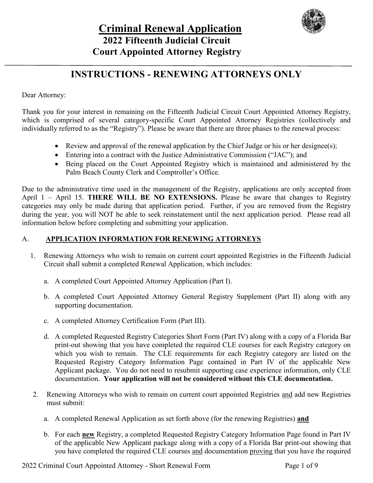

# **INSTRUCTIONS - RENEWING ATTORNEYS ONLY**

Dear Attorney:

Thank you for your interest in remaining on the Fifteenth Judicial Circuit Court Appointed Attorney Registry, which is comprised of several category-specific Court Appointed Attorney Registries (collectively and individually referred to as the "Registry"). Please be aware that there are three phases to the renewal process:

- Review and approval of the renewal application by the Chief Judge or his or her designee(s);
- Entering into a contract with the Justice Administrative Commission ("JAC"); and
- Being placed on the Court Appointed Registry which is maintained and administered by the Palm Beach County Clerk and Comptroller's Office.

Due to the administrative time used in the management of the Registry, applications are only accepted from April 1 – April 15. **THERE WILL BE NO EXTENSIONS.** Please be aware that changes to Registry categories may only be made during that application period. Further, if you are removed from the Registry during the year, you will NOT be able to seek reinstatement until the next application period. Please read all information below before completing and submitting your application.

### A. **APPLICATION INFORMATION FOR RENEWING ATTORNEYS**

- 1. Renewing Attorneys who wish to remain on current court appointed Registries in the Fifteenth Judicial Circuit shall submit a completed Renewal Application, which includes:
	- a. A completed Court Appointed Attorney Application (Part I).
	- b. A completed Court Appointed Attorney General Registry Supplement (Part II) along with any supporting documentation.
	- c. A completed Attorney Certification Form (Part III).
	- d. A completed Requested Registry Categories Short Form (Part IV) along with a copy of a Florida Bar print-out showing that you have completed the required CLE courses for each Registry category on which you wish to remain.The CLE requirements for each Registry category are listed on the Requested Registry Category Information Page contained in Part IV of the applicable New Applicant package. You do not need to resubmit supporting case experience information, only CLE documentation. **Your application will not be considered without this CLE documentation.**
- 2. Renewing Attorneys who wish to remain on current court appointed Registries and add new Registries must submit:
	- a. A completed Renewal Application as set forth above (for the renewing Registries) **and**
	- b. For each **new** Registry, a completed Requested Registry Category Information Page found in Part IV of the applicable New Applicant package along with a copy of a Florida Bar print-out showing that you have completed the required CLE courses and documentation proving that you have the required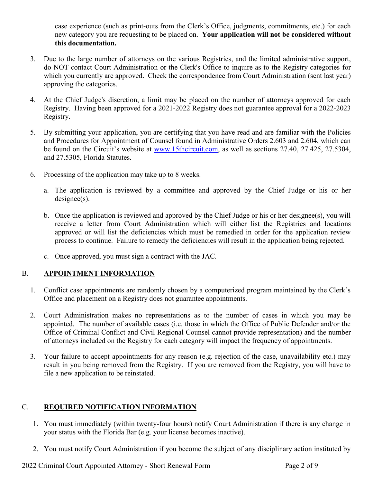case experience (such as print-outs from the Clerk's Office, judgments, commitments, etc.) for each new category you are requesting to be placed on. **Your application will not be considered without this documentation.** 

- 3. Due to the large number of attorneys on the various Registries, and the limited administrative support, do NOT contact Court Administration or the Clerk's Office to inquire as to the Registry categories for which you currently are approved. Check the correspondence from Court Administration (sent last year) approving the categories.
- 4. At the Chief Judge's discretion, a limit may be placed on the number of attorneys approved for each Registry. Having been approved for a 2021-2022 Registry does not guarantee approval for a 2022-2023 Registry.
- 5. By submitting your application, you are certifying that you have read and are familiar with the Policies and Procedures for Appointment of Counsel found in Administrative Orders 2.603 and 2.604, which can be found on the Circuit's website at [www.15thcircuit.com,](http://www.15thcircuit.com/) as well as sections 27.40, 27.425, 27.5304, and 27.5305, Florida Statutes.
- 6. Processing of the application may take up to 8 weeks.
	- a. The application is reviewed by a committee and approved by the Chief Judge or his or her designee(s).
	- b. Once the application is reviewed and approved by the Chief Judge or his or her designee(s), you will receive a letter from Court Administration which will either list the Registries and locations approved or will list the deficiencies which must be remedied in order for the application review process to continue. Failure to remedy the deficiencies will result in the application being rejected.
	- c. Once approved, you must sign a contract with the JAC.

### B. **APPOINTMENT INFORMATION**

- 1. Conflict case appointments are randomly chosen by a computerized program maintained by the Clerk's Office and placement on a Registry does not guarantee appointments.
- 2. Court Administration makes no representations as to the number of cases in which you may be appointed. The number of available cases (i.e. those in which the Office of Public Defender and/or the Office of Criminal Conflict and Civil Regional Counsel cannot provide representation) and the number of attorneys included on the Registry for each category will impact the frequency of appointments.
- 3. Your failure to accept appointments for any reason (e.g. rejection of the case, unavailability etc.) may result in you being removed from the Registry. If you are removed from the Registry, you will have to file a new application to be reinstated.

### C. **REQUIRED NOTIFICATION INFORMATION**

- 1. You must immediately (within twenty-four hours) notify Court Administration if there is any change in your status with the Florida Bar (e.g. your license becomes inactive).
- 2. You must notify Court Administration if you become the subject of any disciplinary action instituted by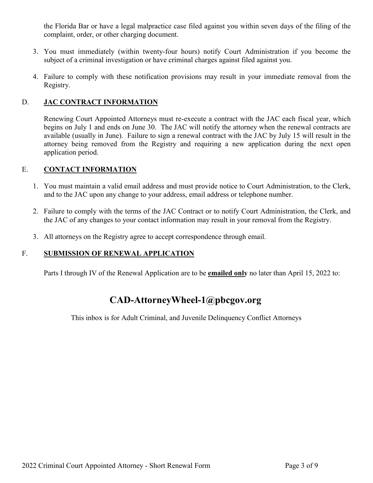the Florida Bar or have a legal malpractice case filed against you within seven days of the filing of the complaint, order, or other charging document.

- 3. You must immediately (within twenty-four hours) notify Court Administration if you become the subject of a criminal investigation or have criminal charges against filed against you.
- 4. Failure to comply with these notification provisions may result in your immediate removal from the Registry.

### D. **JAC CONTRACT INFORMATION**

Renewing Court Appointed Attorneys must re-execute a contract with the JAC each fiscal year, which begins on July 1 and ends on June 30. The JAC will notify the attorney when the renewal contracts are available (usually in June). Failure to sign a renewal contract with the JAC by July 15 will result in the attorney being removed from the Registry and requiring a new application during the next open application period.

#### E. **CONTACT INFORMATION**

- 1. You must maintain a valid email address and must provide notice to Court Administration, to the Clerk, and to the JAC upon any change to your address, email address or telephone number.
- 2. Failure to comply with the terms of the JAC Contract or to notify Court Administration, the Clerk, and the JAC of any changes to your contact information may result in your removal from the Registry.
- 3. All attorneys on the Registry agree to accept correspondence through email.

### F. **SUBMISSION OF RENEWAL APPLICATION**

Parts I through IV of the Renewal Application are to be **emailed only** no later than April 15, 2022 to:

### **[CAD-AttorneyWheel-1@pbcgov.org](mailto:CAD-AttorneyWheel-1@pbcgov.org)**

This inbox is for Adult Criminal, and Juvenile Delinquency Conflict Attorneys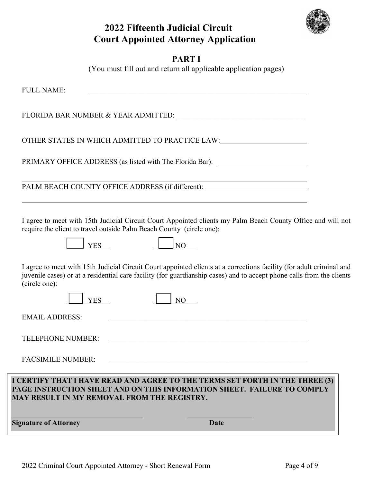

# **2022 Fifteenth Judicial Circuit Court Appointed Attorney Application**

|--|--|

(You must fill out and return all applicable application pages)

| <b>Signature of Attorney</b>                                                                                                                                                                           | <b>Date</b>                                                                                                                                                                                                                                   |  |  |
|--------------------------------------------------------------------------------------------------------------------------------------------------------------------------------------------------------|-----------------------------------------------------------------------------------------------------------------------------------------------------------------------------------------------------------------------------------------------|--|--|
| I CERTIFY THAT I HAVE READ AND AGREE TO THE TERMS SET FORTH IN THE THREE (3)<br>PAGE INSTRUCTION SHEET AND ON THIS INFORMATION SHEET. FAILURE TO COMPLY<br>MAY RESULT IN MY REMOVAL FROM THE REGISTRY. |                                                                                                                                                                                                                                               |  |  |
| <b>FACSIMILE NUMBER:</b>                                                                                                                                                                               |                                                                                                                                                                                                                                               |  |  |
| <b>TELEPHONE NUMBER:</b>                                                                                                                                                                               |                                                                                                                                                                                                                                               |  |  |
| <b>EMAIL ADDRESS:</b>                                                                                                                                                                                  |                                                                                                                                                                                                                                               |  |  |
| (circle one):<br><b>YES</b>                                                                                                                                                                            | NO <sub>1</sub>                                                                                                                                                                                                                               |  |  |
|                                                                                                                                                                                                        | I agree to meet with 15th Judicial Circuit Court appointed clients at a corrections facility (for adult criminal and<br>juvenile cases) or at a residential care facility (for guardianship cases) and to accept phone calls from the clients |  |  |
| <b>YES</b>                                                                                                                                                                                             | N <sub>O</sub>                                                                                                                                                                                                                                |  |  |
|                                                                                                                                                                                                        | I agree to meet with 15th Judicial Circuit Court Appointed clients my Palm Beach County Office and will not<br>require the client to travel outside Palm Beach County (circle one):                                                           |  |  |
|                                                                                                                                                                                                        | PALM BEACH COUNTY OFFICE ADDRESS (if different): _______________________________                                                                                                                                                              |  |  |
|                                                                                                                                                                                                        |                                                                                                                                                                                                                                               |  |  |
|                                                                                                                                                                                                        | PRIMARY OFFICE ADDRESS (as listed with The Florida Bar): _______________________                                                                                                                                                              |  |  |
|                                                                                                                                                                                                        | OTHER STATES IN WHICH ADMITTED TO PRACTICE LAW:                                                                                                                                                                                               |  |  |
|                                                                                                                                                                                                        |                                                                                                                                                                                                                                               |  |  |
| <b>FULL NAME:</b>                                                                                                                                                                                      | <u> 1989 - Johann John Stoff, deutscher Stoffen und der Stoffen und der Stoffen und der Stoffen und der Stoffen</u>                                                                                                                           |  |  |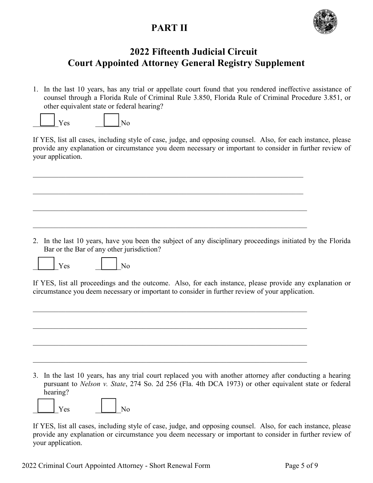# **PART II**



## **2022 Fifteenth Judicial Circuit Court Appointed Attorney General Registry Supplement**

1. In the last 10 years, has any trial or appellate court found that you rendered ineffective assistance of counsel through a Florida Rule of Criminal Rule 3.850, Florida Rule of Criminal Procedure 3.851, or other equivalent state or federal hearing?



If YES, list all cases, including style of case, judge, and opposing counsel. Also, for each instance, please provide any explanation or circumstance you deem necessary or important to consider in further review of your application.

2. In the last 10 years, have you been the subject of any disciplinary proceedings initiated by the Florida Bar or the Bar of any other jurisdiction?





If YES, list all proceedings and the outcome. Also, for each instance, please provide any explanation or circumstance you deem necessary or important to consider in further review of your application.

3. In the last 10 years, has any trial court replaced you with another attorney after conducting a hearing pursuant to *Nelson v. State*, 274 So. 2d 256 (Fla. 4th DCA 1973) or other equivalent state or federal hearing?

 $Yes$   $|$   $|$   $No$ 

If YES, list all cases, including style of case, judge, and opposing counsel. Also, for each instance, please provide any explanation or circumstance you deem necessary or important to consider in further review of your application.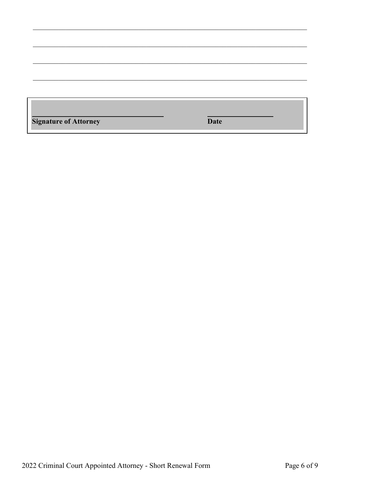| <b>Signature of Attorney</b> | <b>Date</b> |  |
|------------------------------|-------------|--|
|                              |             |  |
|                              |             |  |
|                              |             |  |
|                              |             |  |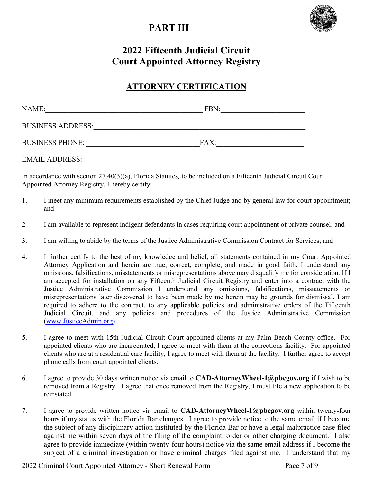# **PART III**



# **2022 Fifteenth Judicial Circuit Court Appointed Attorney Registry**

### **ATTORNEY CERTIFICATION**

| NAME:                    | FBN: |  |
|--------------------------|------|--|
| <b>BUSINESS ADDRESS:</b> |      |  |
| <b>BUSINESS PHONE:</b>   | FAX: |  |
| <b>EMAIL ADDRESS:</b>    |      |  |

In accordance with section 27.40(3)(a), Florida Statutes*,* to be included on a Fifteenth Judicial Circuit Court Appointed Attorney Registry, I hereby certify:

- 1. I meet any minimum requirements established by the Chief Judge and by general law for court appointment; and
- 2 I am available to represent indigent defendants in cases requiring court appointment of private counsel; and
- 3. I am willing to abide by the terms of the Justice Administrative Commission Contract for Services; and
- 4. I further certify to the best of my knowledge and belief, all statements contained in my Court Appointed Attorney Application and herein are true, correct, complete, and made in good faith. I understand any omissions, falsifications, misstatements or misrepresentations above may disqualify me for consideration. If I am accepted for installation on any Fifteenth Judicial Circuit Registry and enter into a contract with the Justice Administrative Commission I understand any omissions, falsifications, misstatements or misrepresentations later discovered to have been made by me herein may be grounds for dismissal. I am required to adhere to the contract, to any applicable policies and administrative orders of the Fifteenth Judicial Circuit, and any policies and procedures of the Justice Administrative Commission [\(www.JusticeAdmin.org\)](http://www.justiceadmin.org/).
- 5. I agree to meet with 15th Judicial Circuit Court appointed clients at my Palm Beach County office. For appointed clients who are incarcerated, I agree to meet with them at the corrections facility. For appointed clients who are at a residential care facility, I agree to meet with them at the facility. I further agree to accept phone calls from court appointed clients.
- 6. I agree to provide 30 days written notice via email to **CAD-AttorneyWheel-1@pbcgov.org** if I wish to be removed from a Registry. I agree that once removed from the Registry, I must file a new application to be reinstated.
- 7. I agree to provide written notice via email to **CAD-AttorneyWheel-1@pbcgov.org** within twenty-four hours if my status with the Florida Bar changes. I agree to provide notice to the same email if I become the subject of any disciplinary action instituted by the Florida Bar or have a legal malpractice case filed against me within seven days of the filing of the complaint, order or other charging document. I also agree to provide immediate (within twenty-four hours) notice via the same email address if I become the subject of a criminal investigation or have criminal charges filed against me. I understand that my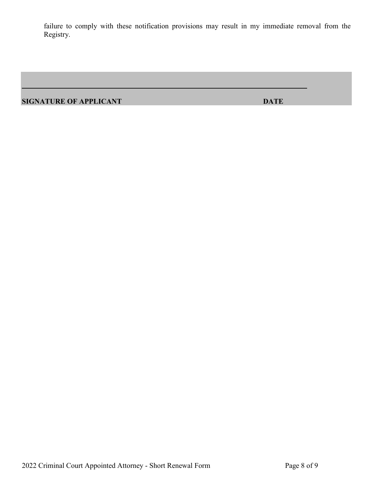failure to comply with these notification provisions may result in my immediate removal from the Registry.

**SIGNATURE OF APPLICANT DATE**